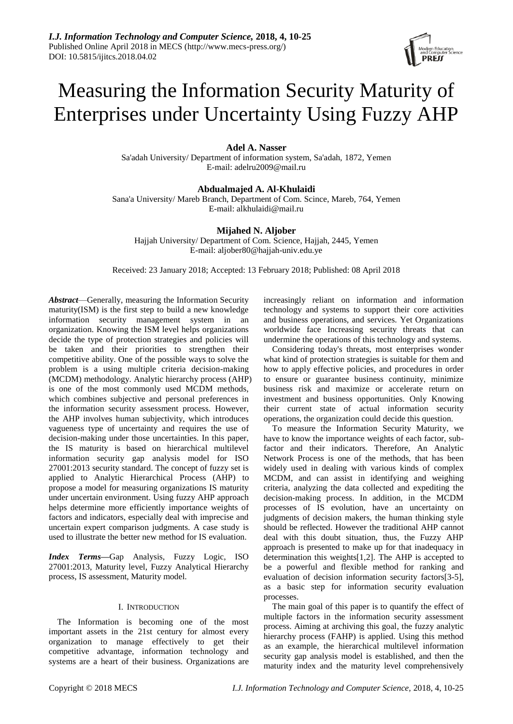# Measuring the Information Security Maturity of Enterprises under Uncertainty Using Fuzzy AHP

# **Adel A. Nasser**

Sa'adah University/ Department of information system, Sa'adah, 1872, Yemen E-mail: adelru2009@mail.ru

# **Abdualmajed A. Al-Khulaidi**

Sana'a University/ Mareb Branch, Department of Com. Scince, Mareb, 764, Yemen E-mail: alkhulaidi@mail.ru

# **Mijahed N. Aljober**

Hajjah University/ Department of Com. Science, Hajjah, 2445, Yemen E-mail: aljober80@hajjah-univ.edu.ye

Received: 23 January 2018; Accepted: 13 February 2018; Published: 08 April 2018

*Abstract*—Generally, measuring the Information Security maturity(ISM) is the first step to build a new knowledge information security management system in an organization. Knowing the ISM level helps organizations decide the type of protection strategies and policies will be taken and their priorities to strengthen their competitive ability. One of the possible ways to solve the problem is a using multiple criteria decision-making (MCDM) methodology. Analytic hierarchy process (AHP) is one of the most commonly used MCDM methods, which combines subjective and personal preferences in the information security assessment process. However, the AHP involves human subjectivity, which introduces vagueness type of uncertainty and requires the use of decision-making under those uncertainties. In this paper, the IS maturity is based on hierarchical multilevel information security gap analysis model for ISO 27001:2013 security standard. The concept of fuzzy set is applied to Analytic Hierarchical Process (AHP) to propose a model for measuring organizations IS maturity under uncertain environment. Using fuzzy AHP approach helps determine more efficiently importance weights of factors and indicators, especially deal with imprecise and uncertain expert comparison judgments. A case study is used to illustrate the better new method for IS evaluation.

*Index Terms***—**Gap Analysis, Fuzzy Logic, ISO 27001:2013, Maturity level, Fuzzy Analytical Hierarchy process, IS assessment, Maturity model.

# I. INTRODUCTION

The Information is becoming one of the most important assets in the 21st century for almost every organization to manage effectively to get their competitive advantage, information technology and systems are a heart of their business. Organizations are

increasingly reliant on information and information technology and systems to support their core activities and business operations, and services. Yet Organizations worldwide face Increasing security threats that can undermine the operations of this technology and systems.

Considering today's threats, most enterprises wonder what kind of protection strategies is suitable for them and how to apply effective policies, and procedures in order to ensure or guarantee business continuity, minimize business risk and maximize or accelerate return on investment and business opportunities. Only Knowing their current state of actual information security operations, the organization could decide this question.

To measure the Information Security Maturity, we have to know the importance weights of each factor, subfactor and their indicators. Therefore, An Analytic Network Process is one of the methods, that has been widely used in dealing with various kinds of complex MCDM, and can assist in identifying and weighing criteria, analyzing the data collected and expediting the decision-making process. In addition, in the MCDM processes of IS evolution, have an uncertainty on judgments of decision makers, the human thinking style should be reflected. However the traditional AHP cannot deal with this doubt situation, thus, the Fuzzy AHP approach is presented to make up for that inadequacy in determination this weights[1,2]. The AHP is accepted to be a powerful and flexible method for ranking and evaluation of decision information security factors[3-5], as a basic step for information security evaluation processes.

The main goal of this paper is to quantify the effect of multiple factors in the information security assessment process. Aiming at archiving this goal, the fuzzy analytic hierarchy process (FAHP) is applied. Using this method as an example, the hierarchical multilevel information security gap analysis model is established, and then the maturity index and the maturity level comprehensively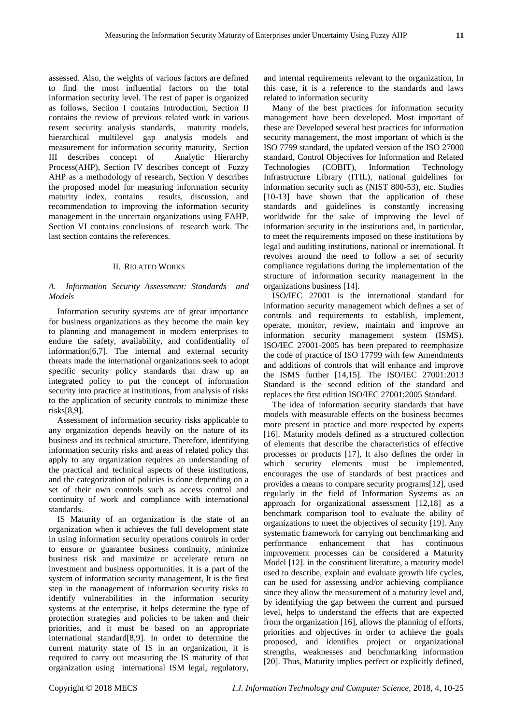assessed. Also, the weights of various factors are defined to find the most influential factors on the total information security level. The rest of paper is organized as follows, Section I contains Introduction, Section II contains the review of previous related work in various resent security analysis standards, maturity models, hierarchical multilevel gap analysis models and measurement for information security maturity, Section III describes concept of Analytic Hierarchy Process(AHP), Section IV describes concept of Fuzzy AHP as a methodology of research, Section V describes the proposed model for measuring information security maturity index, contains results, discussion, and recommendation to improving the information security management in the uncertain organizations using FAHP, Section VI contains conclusions of research work. The last section contains the references.

# II. RELATED WORKS

# *A. Information Security Assessment: Standards and Models*

Information security systems are of great importance for business organizations as they become the main key to planning and management in modern enterprises to endure the safety, availability, and confidentiality of information[6,7]. The internal and external security threats made the international organizations seek to adopt specific security policy standards that draw up an integrated policy to put the concept of information security into practice at institutions, from analysis of risks to the application of security controls to minimize these risks[8,9].

Assessment of information security risks applicable to any organization depends heavily on the nature of its business and its technical structure. Therefore, identifying information security risks and areas of related policy that apply to any organization requires an understanding of the practical and technical aspects of these institutions, and the categorization of policies is done depending on a set of their own controls such as access control and continuity of work and compliance with international standards.

IS Maturity of an organization is the state of an organization when it achieves the full development state in using information security operations controls in order to ensure or guarantee business continuity, minimize business risk and maximize or accelerate return on investment and business opportunities. It is a part of the system of information security management, It is the first step in the management of information security risks to identify vulnerabilities in the information security systems at the enterprise, it helps determine the type of protection strategies and policies to be taken and their priorities, and it must be based on an appropriate international standard[8,9]. In order to determine the current maturity state of IS in an organization, it is required to carry out measuring the IS maturity of that organization using international ISM legal, regulatory,

and internal requirements relevant to the organization, In this case, it is a reference to the standards and laws related to information security

Many of the best practices for information security management have been developed. Most important of these are Developed several best practices for information security management, the most important of which is the ISO 7799 standard, the updated version of the ISO 27000 standard, Control Objectives for Information and Related Technologies (COBIT), Information Technology Infrastructure Library (ITIL), national guidelines for information security such as (NIST 800-53), etc. Studies [10-13] have shown that the application of these standards and guidelines is constantly increasing worldwide for the sake of improving the level of information security in the institutions and, in particular, to meet the requirements imposed on these institutions by legal and auditing institutions, national or international. It revolves around the need to follow a set of security compliance regulations during the implementation of the structure of information security management in the organizations business [14].

ISO/IEC 27001 is the international standard for information security management which defines a set of controls and requirements to establish, implement, operate, monitor, review, maintain and improve an information security management system (ISMS). ISO/IEC 27001-2005 has been prepared to reemphasize the code of practice of ISO 17799 with few Amendments and additions of controls that will enhance and improve the ISMS further [14,15]. The ISO/IEC 27001:2013 Standard is the second edition of the standard and replaces the first edition ISO/IEC 27001:2005 Standard.

The idea of information security standards that have models with measurable effects on the business becomes more present in practice and more respected by experts [16]. Maturity models defined as a structured collection of elements that describe the characteristics of effective processes or products [17], It also defines the order in which security elements must be implemented, encourages the use of standards of best practices and provides a means to compare security programs[12], used regularly in the field of Information Systems as an approach for organizational assessment [12,18] as a benchmark comparison tool to evaluate the ability of organizations to meet the objectives of security [19]. Any systematic framework for carrying out benchmarking and performance enhancement that has continuous improvement processes can be considered a Maturity Model [12]. in the constituent literature, a maturity model used to describe, explain and evaluate growth life cycles, can be used for assessing and/or achieving compliance since they allow the measurement of a maturity level and, by identifying the gap between the current and pursued level, helps to understand the effects that are expected from the organization [16], allows the planning of efforts, priorities and objectives in order to achieve the goals proposed, and identifies project or organizational strengths, weaknesses and benchmarking information [20]. Thus, Maturity implies perfect or explicitly defined,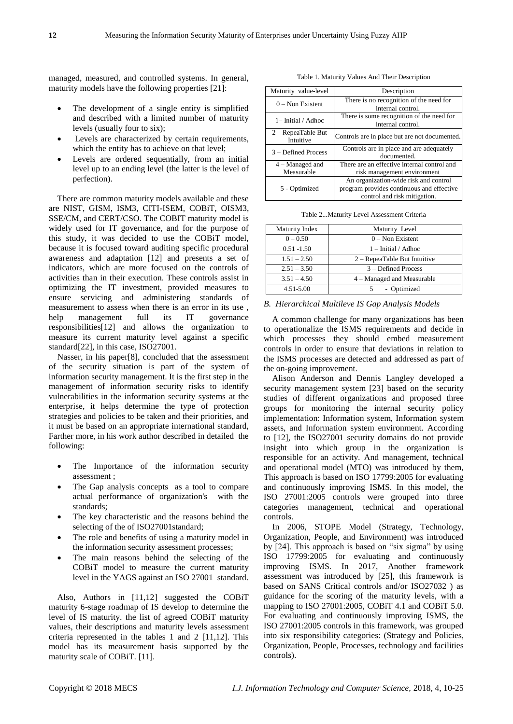managed, measured, and controlled systems. In general, maturity models have the following properties [21]:

- The development of a single entity is simplified and described with a limited number of maturity levels (usually four to six);
- Levels are characterized by certain requirements, which the entity has to achieve on that level;
- Levels are ordered sequentially, from an initial level up to an ending level (the latter is the level of perfection).

There are common maturity models available and these are NIST, GISM, ISM3, CITI-ISEM, COBiT, OISM3, SSE/CM, and CERT/CSO. The COBIT maturity model is widely used for IT governance, and for the purpose of this study, it was decided to use the COBiT model, because it is focused toward auditing specific procedural awareness and adaptation [12] and presents a set of indicators, which are more focused on the controls of activities than in their execution. These controls assist in optimizing the IT investment, provided measures to ensure servicing and administering standards of measurement to assess when there is an error in its use , help management full its IT governance responsibilities[12] and allows the organization to measure its current maturity level against a specific standard[22], in this case, ISO27001.

Nasser, in his paper[8], concluded that the assessment of the security situation is part of the system of information security management. It is the first step in the management of information security risks to identify vulnerabilities in the information security systems at the enterprise, it helps determine the type of protection strategies and policies to be taken and their priorities, and it must be based on an appropriate international standard, Farther more, in his work author described in detailed the following:

- The Importance of the information security assessment ;
- The Gap analysis concepts as a tool to compare actual performance of organization's with the standards;
- The key characteristic and the reasons behind the selecting of the of ISO27001standard;
- The role and benefits of using a maturity model in the information security assessment processes;
- The main reasons behind the selecting of the COBiT model to measure the current maturity level in the YAGS against an ISO 27001 standard.

Also, Authors in [11,12] suggested the COBiT maturity 6-stage roadmap of IS develop to determine the level of IS maturity. the list of agreed COBiT maturity values, their descriptions and maturity levels assessment criteria represented in the tables 1 and 2 [11,12]. This model has its measurement basis supported by the maturity scale of COBiT. [11].

Table 1. Maturity Values And Their Description

| Maturity value-level              | Description                                                                                                        |  |  |
|-----------------------------------|--------------------------------------------------------------------------------------------------------------------|--|--|
| $0 - \text{Non Existent}$         | There is no recognition of the need for<br>internal control.                                                       |  |  |
| 1- Initial / Adhoc                | There is some recognition of the need for<br>internal control.                                                     |  |  |
| $2 -$ RepeaTable But<br>Intuitive | Controls are in place but are not documented.                                                                      |  |  |
| 3 – Defined Process               | Controls are in place and are adequately<br>documented.                                                            |  |  |
| $4 -$ Managed and                 | There are an effective internal control and                                                                        |  |  |
| Measurable                        | risk management environment                                                                                        |  |  |
| 5 - Optimized                     | An organization-wide risk and control<br>program provides continuous and effective<br>control and risk mitigation. |  |  |

| Table 2Maturity Level Assessment Criteria |  |  |  |
|-------------------------------------------|--|--|--|
|-------------------------------------------|--|--|--|

| Maturity Index | Maturity Level                 |
|----------------|--------------------------------|
| $0 - 0.50$     | $0 -$ Non Existent             |
| $0.51 - 1.50$  | $1 -$ Initial / Adhoc          |
| $1.51 - 2.50$  | $2 -$ RepeaTable But Intuitive |
| $2.51 - 3.50$  | 3 – Defined Process            |
| $3.51 - 4.50$  | 4 – Managed and Measurable     |
| 4.51-5.00      | - Optimized                    |

## *B. Hierarchical Multileve IS Gap Analysis Models*

A common challenge for many organizations has been to operationalize the ISMS requirements and decide in which processes they should embed measurement controls in order to ensure that deviations in relation to the ISMS processes are detected and addressed as part of the on-going improvement.

Alison Anderson and Dennis Langley developed a security management system [23] based on the security studies of different organizations and proposed three groups for monitoring the internal security policy implementation: Information system, Information system assets, and Information system environment. According to [12], the ISO27001 security domains do not provide insight into which group in the organization is responsible for an activity. And management, technical and operational model (MTO) was introduced by them, This approach is based on ISO 17799:2005 for evaluating and continuously improving ISMS. In this model, the ISO 27001:2005 controls were grouped into three categories management, technical and operational controls.

In 2006, STOPE Model (Strategy, Technology, Organization, People, and Environment) was introduced by [24]. This approach is based on "six sigma" by using ISO 17799:2005 for evaluating and continuously improving ISMS. In 2017, Another framework assessment was introduced by [25], this framework is based on SANS Critical controls and/or ISO27032 ) as guidance for the scoring of the maturity levels, with a mapping to ISO 27001:2005, COBiT 4.1 and COBiT 5.0. For evaluating and continuously improving ISMS, the ISO 27001:2005 controls in this framework, was grouped into six responsibility categories: (Strategy and Policies, Organization, People, Processes, technology and facilities controls).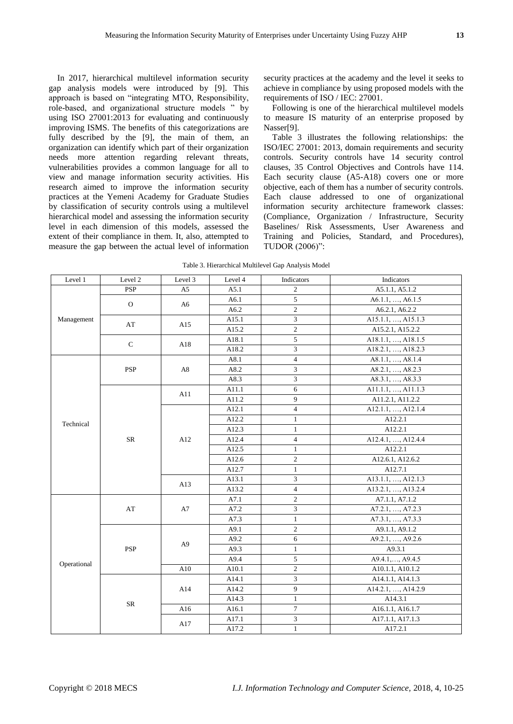In 2017, hierarchical multilevel information security gap analysis models were introduced by [9]. This approach is based on "integrating MTO, Responsibility, role-based, and organizational structure models " by using ISO 27001:2013 for evaluating and continuously improving ISMS. The benefits of this categorizations are fully described by the [9], the main of them, an organization can identify which part of their organization needs more attention regarding relevant threats, vulnerabilities provides a common language for all to view and manage information security activities. His research aimed to improve the information security practices at the Yemeni Academy for Graduate Studies by classification of security controls using a multilevel hierarchical model and assessing the information security level in each dimension of this models, assessed the extent of their compliance in them. It, also, attempted to measure the gap between the actual level of information

security practices at the academy and the level it seeks to achieve in compliance by using proposed models with the requirements of ISO / IEC: 27001.

Following is one of the hierarchical multilevel models to measure IS maturity of an enterprise proposed by Nasser[9].

Table 3 illustrates the following relationships: the ISO/IEC 27001: 2013, domain requirements and security controls. Security controls have 14 security control clauses, 35 Control Objectives and Controls have 114. Each security clause (A5-A18) covers one or more objective, each of them has a number of security controls. Each clause addressed to one of organizational information security architecture framework classes: (Compliance, Organization / Infrastructure, Security Baselines/ Risk Assessments, User Awareness and Training and Policies, Standard, and Procedures), TUDOR (2006)":

Table 3. Hierarchical Multilevel Gap Analysis Model

| Level 1     | Level 2      | Level 3        | Level 4     | Indicators              | Indicators         |
|-------------|--------------|----------------|-------------|-------------------------|--------------------|
|             | <b>PSP</b>   | A5             | A5.1        | $\overline{c}$          | A5.1.1, A5.1.2     |
| Management  |              |                | A6.1        | 5                       | A6.1.1, , A6.1.5   |
|             | $\mathbf{O}$ | A6             | A6.2        | $\overline{c}$          | A6.2.1, A6.2.2     |
|             | AT           |                | A15.1       | 3                       | A15.1.1, , A15.1.3 |
|             |              | A15            | A15.2       | $\overline{c}$          | A15.2.1, A15.2.2   |
|             |              |                | A18.1       | 5                       | A18.1.1, , A18.1.5 |
|             | ${\bf C}$    | A18            | A18.2       | 3                       | A18.2.1, , A18.2.3 |
|             |              |                | A8.1        | $\overline{\mathbf{4}}$ | A8.1.1, , A8.1.4   |
|             | <b>PSP</b>   | A8             | A8.2        | 3                       | A8.2.1, , A8.2.3   |
|             |              |                | A8.3        | 3                       | A8.3.1, , A8.3.3   |
|             |              | A11            | A11.1       | 6                       | A11.1.1, , A11.1.3 |
|             |              |                | A11.2       | 9                       | A11.2.1, A11.2.2   |
|             |              |                | A12.1       | 4                       | A12.1.1, , A12.1.4 |
| Technical   |              |                | A12.2       | $\mathbf{1}$            | A12.2.1            |
|             |              |                | A12.3       | $\mathbf{1}$            | A12.2.1            |
|             | ${\rm SR}$   | A12<br>A13     | A12.4       | 4                       | A12.4.1, , A12.4.4 |
|             |              |                | A12.5       | $\mathbf{1}$            | A12.2.1            |
|             |              |                | A12.6       | $\overline{c}$          | A12.6.1, A12.6.2   |
|             |              |                | A12.7       | $\mathbf{1}$            | A12.7.1            |
|             |              |                | A13.1       | 3                       | A13.1.1, , A12.1.3 |
|             |              |                | A13.2       | $\overline{4}$          | A13.2.1, , A13.2.4 |
|             |              |                | A7.1        | $\overline{c}$          | A7.1.1, A7.1.2     |
|             | AT           | A7             | A7.2        | 3                       | A7.2.1, , A7.2.3   |
|             |              |                | A7.3        | $\mathbf{1}$            | A7.3.1, , A7.3.3   |
|             |              |                | A9.1        | $\overline{c}$          | A9.1.1, A9.1.2     |
|             |              | A <sub>9</sub> | A9.2        | 6                       | A9.2.1, , A9.2.6   |
|             | <b>PSP</b>   |                | A9.3        | $\mathbf{1}$            | A9.3.1             |
| Operational |              |                | A9.4        | 5                       | A9.4.1, , A9.4.5   |
|             |              | A10            | A10.1       | $\boldsymbol{2}$        | A10.1.1, A10.1.2   |
|             |              |                | A14.1       | 3                       | A14.1.1, A14.1.3   |
|             |              | A14            | $\rm A14.2$ | 9                       | A14.2.1, , A14.2.9 |
|             |              |                | A14.3       | $\mathbf{1}$            | A14.3.1            |
|             | ${\rm SR}$   | A16            | A16.1       | $\boldsymbol{7}$        | A16.1.1, A16.1.7   |
|             |              | A17            | A17.1       | 3                       | A17.1.1, A17.1.3   |
|             |              |                | A17.2       | $\mathbf{1}$            | A17.2.1            |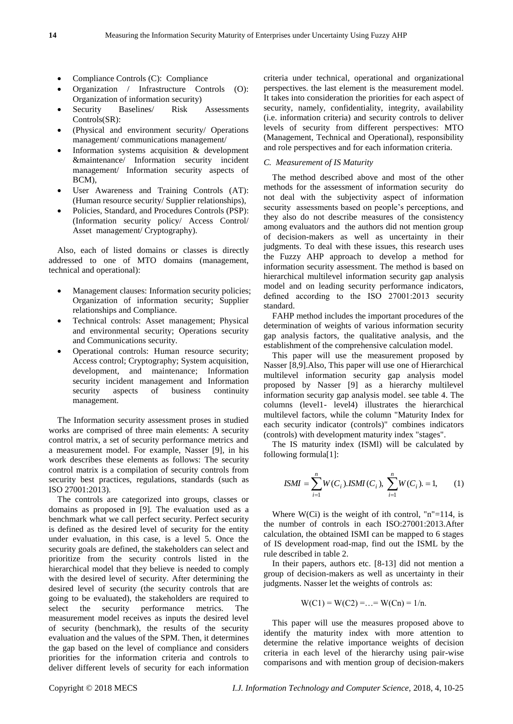- Compliance Controls (C): Compliance
- Organization / Infrastructure Controls (O): Organization of information security)
- Security Baselines/ Risk Assessments Controls(SR):
- (Physical and environment security/ Operations management/ communications management/
- Information systems acquisition & development &maintenance/ Information security incident management/ Information security aspects of BCM),
- User Awareness and Training Controls (AT): (Human resource security/ Supplier relationships),
- Policies, Standard, and Procedures Controls (PSP): (Information security policy/ Access Control/ Asset management/ Cryptography).

Also, each of listed domains or classes is directly addressed to one of MTO domains (management, technical and operational):

- Management clauses: Information security policies; Organization of information security; Supplier relationships and Compliance.
- Technical controls: Asset management; Physical and environmental security; Operations security and Communications security.
- Operational controls: Human resource security; Access control; Cryptography; System acquisition, development, and maintenance; Information security incident management and Information security aspects of business continuity management.

The Information security assessment proses in studied works are comprised of three main elements: A security control matrix, a set of security performance metrics and a measurement model. For example, Nasser [9], in his work describes these elements as follows: The security control matrix is a compilation of security controls from security best practices, regulations, standards (such as ISO 27001:2013).

The controls are categorized into groups, classes or domains as proposed in [9]. The evaluation used as a benchmark what we call perfect security. Perfect security is defined as the desired level of security for the entity under evaluation, in this case, is a level 5. Once the security goals are defined, the stakeholders can select and prioritize from the security controls listed in the hierarchical model that they believe is needed to comply with the desired level of security. After determining the desired level of security (the security controls that are going to be evaluated), the stakeholders are required to select the security performance metrics. The measurement model receives as inputs the desired level of security (benchmark), the results of the security evaluation and the values of the SPM. Then, it determines the gap based on the level of compliance and considers priorities for the information criteria and controls to deliver different levels of security for each information

criteria under technical, operational and organizational perspectives. the last element is the measurement model. It takes into consideration the priorities for each aspect of security, namely, confidentiality, integrity, availability (i.e. information criteria) and security controls to deliver levels of security from different perspectives: MTO (Management, Technical and Operational), responsibility and role perspectives and for each information criteria.

# *C. Measurement of IS Maturity*

The method described above and most of the other methods for the assessment of information security do not deal with the subjectivity aspect of information security assessments based on people's perceptions, and they also do not describe measures of the consistency among evaluators and the authors did not mention group of decision-makers as well as uncertainty in their judgments. To deal with these issues, this research uses the Fuzzy AHP approach to develop a method for information security assessment. The method is based on hierarchical multilevel information security gap analysis model and on leading security performance indicators, defined according to the ISO 27001:2013 security standard.

FAHP method includes the important procedures of the determination of weights of various information security gap analysis factors, the qualitative analysis, and the establishment of the comprehensive calculation model.

This paper will use the measurement proposed by Nasser [8,9].Also, This paper will use one of Hierarchical multilevel information security gap analysis model proposed by Nasser [9] as a hierarchy multilevel information security gap analysis model. see table 4. The columns (level1- level4) illustrates the hierarchical multilevel factors, while the column "Maturity Index for each security indicator (controls)" combines indicators (controls) with development maturity index "stages".

The IS maturity index (ISMl) will be calculated by following formula[1]:

$$
ISMI = \sum_{i=1}^{n} W(C_i).ISMI(C_i), \sum_{i=1}^{n} W(C_i). = 1,
$$
 (1)

Where  $W(Ci)$  is the weight of ith control, "n"=114, is the number of controls in each ISO:27001:2013.After calculation, the obtained ISMI can be mapped to 6 stages of IS development road-map, find out the ISML by the rule described in table 2.

In their papers, authors etc. [8-13] did not mention a group of decision-makers as well as uncertainty in their judgments. Nasser let the weights of controls as:

$$
W(C1) = W(C2) = ... = W(Cn) = 1/n.
$$

This paper will use the measures proposed above to identify the maturity index with more attention to determine the relative importance weights of decision criteria in each level of the hierarchy using pair-wise comparisons and with mention group of decision-makers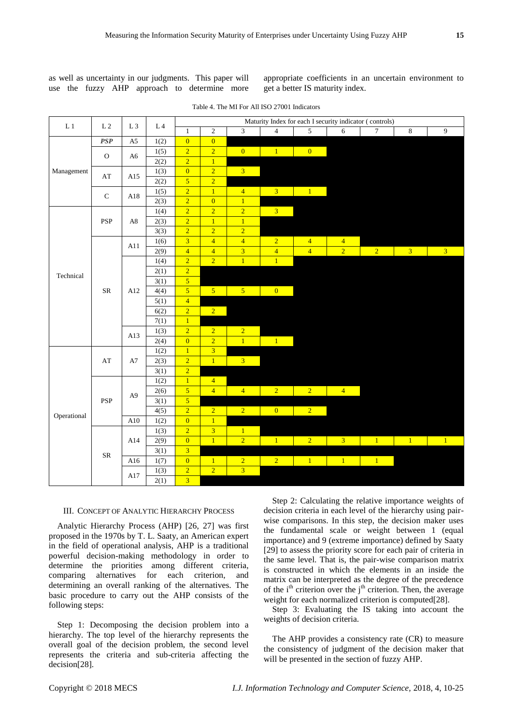as well as uncertainty in our judgments. This paper will use the fuzzy AHP approach to determine more appropriate coefficients in an uncertain environment to get a better IS maturity index.

| $\mathop{\rm L{}} 1$ | L <sub>2</sub>         | $\;$ L $\;$ 3            | $\;$ L $\;$ 4 $\;$ |                                | Maturity Index for each I security indicator (controls) |                         |                |                |                |                |                |                |
|----------------------|------------------------|--------------------------|--------------------|--------------------------------|---------------------------------------------------------|-------------------------|----------------|----------------|----------------|----------------|----------------|----------------|
|                      |                        |                          |                    | $1\,$                          | $\overline{2}$                                          | 3                       | $\overline{4}$ | $\overline{5}$ | $\overline{6}$ | $\overline{7}$ | $\,8\,$        | 9              |
|                      | PSP                    | A <sub>5</sub>           | 1(2)               | $\overline{0}$                 | $\overline{0}$                                          |                         |                |                |                |                |                |                |
|                      | $\rm{O}$<br>A6         |                          | 1(5)               | $\overline{2}$                 | $\overline{2}$                                          | $\overline{0}$          | 1              | $\overline{0}$ |                |                |                |                |
|                      |                        |                          | 2(2)               | $\overline{2}$                 | $\overline{1}$                                          |                         |                |                |                |                |                |                |
| Management           | $\mathbf{A}\mathbf{T}$ | A15                      | 1(3)               | $\overline{0}$                 | $\overline{2}$                                          | 3 <sup>2</sup>          |                |                |                |                |                |                |
|                      |                        |                          | 2(2)               | $\overline{5}$                 | $\overline{2}$                                          |                         |                |                |                |                |                |                |
|                      | ${\bf C}$              | A18                      | 1(5)               | $\overline{2}$                 | $\overline{1}$                                          | $\overline{4}$          | $\overline{3}$ | $\overline{1}$ |                |                |                |                |
|                      |                        |                          | 2(3)               | $\overline{2}$                 | $\overline{0}$                                          | $\overline{1}$          |                |                |                |                |                |                |
|                      |                        |                          | 1(4)               | $\overline{2}$                 | $\overline{2}$                                          | $\overline{2}$          | $\overline{3}$ |                |                |                |                |                |
|                      | <b>PSP</b>             | $\rm A8$                 | 2(3)               | $\overline{2}$                 | $\overline{1}$                                          | $\overline{1}$          |                |                |                |                |                |                |
|                      |                        |                          | 3(3)               | $\overline{2}$                 | $\overline{2}$                                          | $\overline{2}$          |                |                |                |                |                |                |
|                      |                        | A11                      | 1(6)               | $\overline{3}$                 | $\overline{4}$                                          | $\overline{4}$          | $\overline{2}$ | $\overline{4}$ | $\overline{4}$ |                |                |                |
|                      |                        |                          | 2(9)               | $\overline{4}$                 | $\overline{4}$                                          | $\overline{\mathbf{3}}$ | $\overline{4}$ | $\overline{4}$ | $\overline{2}$ | 2 <sup>7</sup> | 3 <sup>7</sup> | 3 <sup>7</sup> |
|                      |                        |                          | 1(4)               | $\overline{2}$                 | $\overline{2}$                                          | $\overline{1}$          | $\overline{1}$ |                |                |                |                |                |
| Technical            |                        |                          | 2(1)               | $\overline{2}$                 |                                                         |                         |                |                |                |                |                |                |
|                      |                        | ${\rm SR}$<br>A12<br>A13 | 3(1)               | $\overline{5}$                 |                                                         |                         |                |                |                |                |                |                |
|                      |                        |                          | 4(4)               | $\overline{5}$                 | 5 <sup>7</sup>                                          | 5 <sup>7</sup>          | $\overline{0}$ |                |                |                |                |                |
|                      |                        |                          | 5(1)               | $\overline{4}$                 |                                                         |                         |                |                |                |                |                |                |
|                      |                        |                          | 6(2)               | $\overline{2}$                 | $\overline{2}$                                          |                         |                |                |                |                |                |                |
|                      |                        |                          | 7(1)               | $\mathbf{1}$                   |                                                         |                         |                |                |                |                |                |                |
|                      |                        |                          | 1(3)               | $\overline{2}$                 | $\overline{2}$                                          | $\overline{2}$          |                |                |                |                |                |                |
|                      |                        |                          | 2(4)               | $\overline{0}$                 | $\overline{2}$                                          | $\overline{1}$          | $\mathbf{1}$   |                |                |                |                |                |
|                      |                        |                          | 1(2)               | $\mathbf{1}$<br>$\overline{2}$ | $\overline{\mathbf{3}}$<br>$\overline{1}$               | 3 <sup>7</sup>          |                |                |                |                |                |                |
|                      | $\mathbf{A}\mathbf{T}$ | A7                       | 2(3)               | $\overline{2}$                 |                                                         |                         |                |                |                |                |                |                |
|                      |                        |                          | 3(1)               | $\overline{1}$                 | $\overline{4}$                                          |                         |                |                |                |                |                |                |
|                      |                        |                          | 1(2)<br>2(6)       | $\overline{5}$                 | $\overline{4}$                                          | $\overline{4}$          | $\overline{2}$ | 2 <sup>7</sup> | $\overline{4}$ |                |                |                |
|                      | PSP                    | A <sub>9</sub>           | 3(1)               | $\overline{5}$                 |                                                         |                         |                |                |                |                |                |                |
|                      |                        |                          | 4(5)               | $\overline{2}$                 | 2 <sup>7</sup>                                          | $\overline{2}$          | $\overline{0}$ | 2 <sup>7</sup> |                |                |                |                |
| Operational          |                        | A10                      | 1(2)               | $\overline{0}$                 | $\overline{1}$                                          |                         |                |                |                |                |                |                |
|                      |                        |                          | 1(3)               | $\overline{2}$                 | $\overline{3}$                                          | $\overline{1}$          |                |                |                |                |                |                |
|                      |                        | A14                      | 2(9)               | $\overline{0}$                 | $\overline{1}$                                          | $\overline{2}$          | $\overline{1}$ | $\overline{2}$ | $\overline{3}$ | $\overline{1}$ | $\mathbf{1}$   | $\overline{1}$ |
|                      |                        |                          | 3(1)               | $\overline{3}$                 |                                                         |                         |                |                |                |                |                |                |
|                      | ${\rm SR}$             | A16                      | 1(7)               | $\overline{0}$                 | $\mathbf{1}$                                            | $\overline{2}$          | $\overline{2}$ | $\overline{1}$ | 1 <sup>1</sup> | $\overline{1}$ |                |                |
|                      |                        |                          | 1(3)               | $\overline{2}$                 | $\overline{2}$                                          | $\overline{3}$          |                |                |                |                |                |                |
|                      |                        | A17                      | 2(1)               | $\overline{3}$                 |                                                         |                         |                |                |                |                |                |                |
|                      |                        |                          |                    |                                |                                                         |                         |                |                |                |                |                |                |

#### III. CONCEPT OF ANALYTIC HIERARCHY PROCESS

Analytic Hierarchy Process (AHP) [26, 27] was first proposed in the 1970s by T. L. Saaty, an American expert in the field of operational analysis, AHP is a traditional powerful decision-making methodology in order to determine the priorities among different criteria, comparing alternatives for each criterion, and determining an overall ranking of the alternatives. The basic procedure to carry out the AHP consists of the following steps:

Step 1: Decomposing the decision problem into a hierarchy. The top level of the hierarchy represents the overall goal of the decision problem, the second level represents the criteria and sub-criteria affecting the decision[28].

Step 2: Calculating the relative importance weights of decision criteria in each level of the hierarchy using pairwise comparisons. In this step, the decision maker uses the fundamental scale or weight between 1 (equal importance) and 9 (extreme importance) defined by Saaty [29] to assess the priority score for each pair of criteria in the same level. That is, the pair-wise comparison matrix is constructed in which the elements in an inside the matrix can be interpreted as the degree of the precedence of the  $i<sup>th</sup>$  criterion over the  $j<sup>th</sup>$  criterion. Then, the average weight for each normalized criterion is computed[28].

Step 3: Evaluating the IS taking into account the weights of decision criteria.

The AHP provides a consistency rate (CR) to measure the consistency of judgment of the decision maker that will be presented in the section of fuzzy AHP.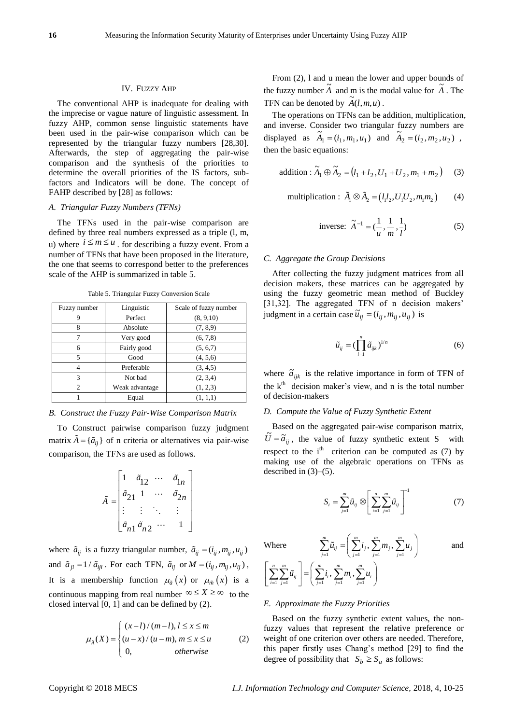#### IV. FUZZY AHP

The conventional AHP is inadequate for dealing with the imprecise or vague nature of linguistic assessment. In fuzzy AHP, common sense linguistic statements have been used in the pair-wise comparison which can be represented by the triangular fuzzy numbers [28,30]. Afterwards, the step of aggregating the pair-wise comparison and the synthesis of the priorities to determine the overall priorities of the IS factors, subfactors and Indicators will be done. The concept of FAHP described by [28] as follows:

## *A. Triangular Fuzzy Numbers (TFNs)*

The TFNs used in the pair-wise comparison are defined by three real numbers expressed as a triple (l, m, u) where  $i \le m \le u$ , for describing a fuzzy event. From a number of TFNs that have been proposed in the literature, the one that seems to correspond better to the preferences scale of the AHP is summarized in table 5.

| Fuzzy number   | Linguistic     | Scale of fuzzy number |
|----------------|----------------|-----------------------|
| 9              | Perfect        | (8, 9, 10)            |
| 8              | Absolute       | (7, 8, 9)             |
| 7              | Very good      | (6, 7, 8)             |
| 6              | Fairly good    | (5, 6, 7)             |
| 5              | Good           | (4, 5, 6)             |
| 4              | Preferable     | (3, 4, 5)             |
| 3              | Not bad        | (2, 3, 4)             |
| $\mathfrak{D}$ | Weak advantage | (1, 2, 3)             |
|                | Equal          | (1, 1, 1)             |

Table 5. Triangular Fuzzy Conversion Scale

#### *B. Construct the Fuzzy Pair-Wise Comparison Matrix*

To Construct pairwise comparison fuzzy judgment matrix  $\vec{A} = {\{\tilde{a}_{ij}\}}$  of n criteria or alternatives via pair-wise comparison, the TFNs are used as follows.

$$
\tilde{A} = \begin{bmatrix}\n1 & \tilde{a}_{12} & \cdots & \tilde{a}_{1n} \\
\tilde{a}_{21} & 1 & \cdots & \tilde{a}_{2n} \\
\vdots & \vdots & \ddots & \vdots \\
\tilde{a}_{n1} & \tilde{a}_{n2} & \cdots & 1\n\end{bmatrix}
$$

where  $\tilde{a}_{ij}$  is a fuzzy triangular number,  $\tilde{a}_{ij} = (i_{ij}, m_{ij}, u_{ij})$ and  $\tilde{a}_{ji} = 1 / \tilde{a}_{iji}$ . For each TFN,  $\tilde{a}_{ij}$  or  $M = (i_{ij}, m_{ij}, u_{ij})$ , It is a membership function  $\mu_{\tilde{a}}(x)$  or  $\mu_{\tilde{m}}(x)$  is a continuous mapping from real number  $\infty \le X \ge \infty$  to the closed interval [0, 1] and can be defined by (2).

$$
\mu_{\lambda}(X) = \begin{cases}\n(x-l)/(m-l), l \leq x \leq m \\
(u-x)/(u-m), m \leq x \leq u \\
0, \qquad \text{otherwise}\n\end{cases}
$$
\n(2)

From (2), l and u mean the lower and upper bounds of the fuzzy number  $\tilde{A}$  and m is the modal value for  $\tilde{A}$ . The TFN can be denoted by  $\widetilde{A}(l,m,u)$ .

The operations on TFNs can be addition, multiplication, and inverse. Consider two triangular fuzzy numbers are displayed as  $\tilde{A}_1 = (i_1, m_1, u_1)$  and  $\tilde{A}_2 = (i_2, m_2, u_2)$ , then the basic equations:

addition : 
$$
\widetilde{A}_1 \oplus \widetilde{A}_2 = (l_1 + l_2, U_1 + U_2, m_1 + m_2)
$$
 (3)

multiplication: 
$$
\tilde{A}_1 \otimes \tilde{A}_2 = (l_1 l_2, U_1 U_2, m_1 m_2)
$$
 (4)

inverse: 
$$
\tilde{A}^{-1} = (\frac{1}{u}, \frac{1}{m}, \frac{1}{l})
$$
 (5)

# *C. Aggregate the Group Decisions*

After collecting the fuzzy judgment matrices from all decision makers, these matrices can be aggregated by using the fuzzy geometric mean method of Buckley [31,32]. The aggregated TFN of n decision makers' judgment in a certain case  $\tilde{u}_{ij} = (i_{ij}, m_{ij}, u_{ij})$  is

$$
\tilde{u}_{ij} = \left(\prod_{i=1}^{n} \tilde{a}_{ijk}\right)^{1/n} \tag{6}
$$

where  $\tilde{a}_{ijk}$  is the relative importance in form of TFN of the  $k<sup>th</sup>$  decision maker's view, and n is the total number of decision-makers

## *D. Compute the Value of Fuzzy Synthetic Extent*

Based on the aggregated pair-wise comparison matrix,  $\tilde{U} = \tilde{a}_{ij}$ , the value of fuzzy synthetic extent S with respect to the  $i<sup>th</sup>$  criterion can be computed as (7) by making use of the algebraic operations on TFNs as described in  $(3)$ – $(5)$ .

$$
S_i = \sum_{j=1}^{m} \tilde{u}_{ij} \otimes \left[ \sum_{i=1}^{n} \sum_{j=1}^{m} \tilde{u}_{ij} \right]^{-1} \tag{7}
$$

Where

and

$$
\left[\sum_{i=1}^{n} \sum_{j=1}^{m} \tilde{u}_{ij}\right] = \left(\sum_{j=1}^{m} i_{i}, \sum_{j=1}^{m} m_{i}, \sum_{j=1}^{m} u_{i}\right)
$$

#### *E. Approximate the Fuzzy Priorities*

Based on the fuzzy synthetic extent values, the nonfuzzy values that represent the relative preference or weight of one criterion over others are needed. Therefore, this paper firstly uses Chang's method [29] to find the degree of possibility that  $S_b \geq S_a$  as follows:

 $\frac{1}{1}$   $\frac{1}{1}$   $\frac{1}{1}$   $\frac{1}{1}$   $\frac{1}{1}$   $\frac{1}{1}$   $\frac{1}{1}$   $\frac{1}{1}$  $\sum_{i=1}^{m} \tilde{u}_{ij} = \sum_{i=1}^{m} i_i, \sum_{i=1}^{m} m_i, \sum_{i=1}^{m}$  $\sum_{j=1}^{\ } u_{ij} = \Bigr\lfloor\, \sum_{j=1}^{l} l_j \, , \, \sum_{j=1}^{l} m_j \, , \, \sum_{j=1}^{l} u_j \, ,$  $\sum_{j=1}^m \widetilde u_{ij} = \left( \ \sum_{j=1}^m i_j \text{,} \ \sum_{j=1}^m m_j \text{,} \ \sum_{j=1}^m u_j \right)$  $\sum_{j=1}^{m} \tilde{u}_{ij} = \left( \sum_{j=1}^{m} i_j, \sum_{j=1}^{m} m_j, \sum_{j=1}^{m} u_j \right)$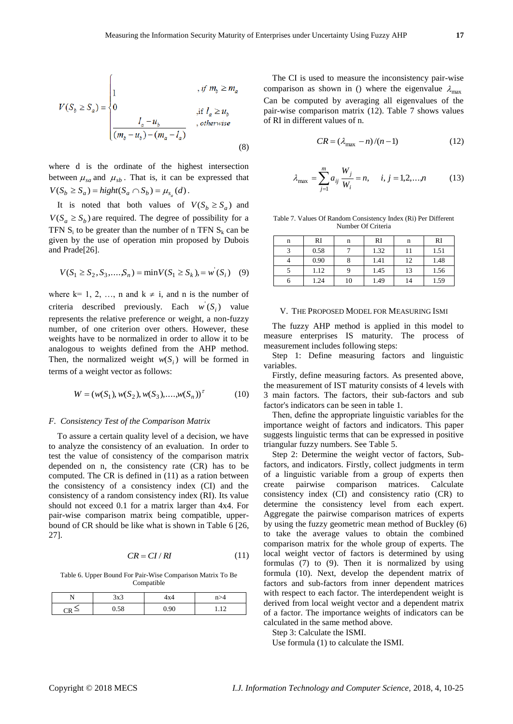$$
V(S_b \ge S_a) = \begin{cases} 1 & , if \ m_b \ge m_a \\ 0 & , if \ l_a \ge u_b \\ \frac{l_a - u_b}{(m_b - u_b) - (m_a - l_a)} & , otherwise \end{cases}
$$
(8)

where d is the ordinate of the highest intersection between  $\mu_{sa}$  and  $\mu_{sb}$ . That is, it can be expressed that  $V(S_b \ge S_a) = hight(S_a \cap S_b) = \mu_{s_a}(d)$ .

It is noted that both values of  $V(S_b \geq S_a)$  and  $V(S_a \geq S_b)$  are required. The degree of possibility for a TFN  $S_i$  to be greater than the number of n TFN  $S_k$  can be given by the use of operation min proposed by Dubois and Prade[26].

$$
V(S_1 \ge S_2, S_3, \dots, S_n) = \min V(S_1 \ge S_k), = w'(S_i) \quad (9)
$$

where  $k=1, 2, ..., n$  and  $k \neq i$ , and n is the number of criteria described previously. Each  $w(S_i)$  value represents the relative preference or weight, a non-fuzzy number, of one criterion over others. However, these weights have to be normalized in order to allow it to be analogous to weights defined from the AHP method. Then, the normalized weight  $w(S_i)$  will be formed in terms of a weight vector as follows:

$$
W = (w(S_1), w(S_2), w(S_3), \dots, w(S_n))^{\tau}
$$
 (10)

#### *F. Consistency Test of the Comparison Matrix*

To assure a certain quality level of a decision, we have to analyze the consistency of an evaluation. In order to test the value of consistency of the comparison matrix depended on n, the consistency rate (CR) has to be computed. The CR is defined in (11) as a ration between the consistency of a consistency index (CI) and the consistency of a random consistency index (RI). Its value should not exceed 0.1 for a matrix larger than 4x4. For pair-wise comparison matrix being compatible, upperbound of CR should be like what is shown in Table 6 [26, 27].

$$
CR = CI/RI \tag{11}
$$

Table 6. Upper Bound For Pair-Wise Comparison Matrix To Be Compatible

| 3x3  | 4x4  | n>4 |
|------|------|-----|
| 0.58 | 0.90 |     |

The CI is used to measure the inconsistency pair-wise comparison as shown in () where the eigenvalue  $\lambda_{\text{max}}$ Can be computed by averaging all eigenvalues of the pair-wise comparison matrix (12). Table 7 shows values of RI in different values of n.

$$
CR = (\lambda_{\text{max}} - n)/(n - 1) \tag{12}
$$

$$
\lambda_{\max} = \sum_{j=1}^{m} a_{ij} \frac{W_j}{W_i} = n, \quad i, j = 1, 2, \dots, n \tag{13}
$$

Table 7. Values Of Random Consistency Index (Ri) Per Different Number Of Criteria

| n | RI   | n  | RI   | n  | RI   |
|---|------|----|------|----|------|
|   | 0.58 |    | 1.32 | 11 | 1.51 |
|   | 0.90 | 8  | 1.41 | 12 | 1.48 |
|   | 1.12 | Q  | 1.45 | 13 | 1.56 |
|   | 1.24 | 10 | 1.49 | 14 | 1.59 |

#### V. THE PROPOSED MODEL FOR MEASURING ISMI

The fuzzy AHP method is applied in this model to measure enterprises IS maturity. The process of measurement includes following steps:

Step 1: Define measuring factors and linguistic variables.

Firstly, define measuring factors. As presented above, the measurement of IST maturity consists of 4 levels with 3 main factors. The factors, their sub-factors and sub factor's indicators can be seen in table 1.

Then, define the appropriate linguistic variables for the importance weight of factors and indicators. This paper suggests linguistic terms that can be expressed in positive triangular fuzzy numbers. See Table 5.

Step 2: Determine the weight vector of factors, Subfactors, and indicators. Firstly, collect judgments in term of a linguistic variable from a group of experts then create pairwise comparison matrices. Calculate consistency index (CI) and consistency ratio (CR) to determine the consistency level from each expert. Aggregate the pairwise comparison matrices of experts by using the fuzzy geometric mean method of Buckley (6) to take the average values to obtain the combined comparison matrix for the whole group of experts. The local weight vector of factors is determined by using formulas (7) to (9). Then it is normalized by using formula (10). Next, develop the dependent matrix of factors and sub-factors from inner dependent matrices with respect to each factor. The interdependent weight is derived from local weight vector and a dependent matrix of a factor. The importance weights of indicators can be calculated in the same method above.

Step 3: Calculate the ISMI.

Use formula (1) to calculate the ISMI.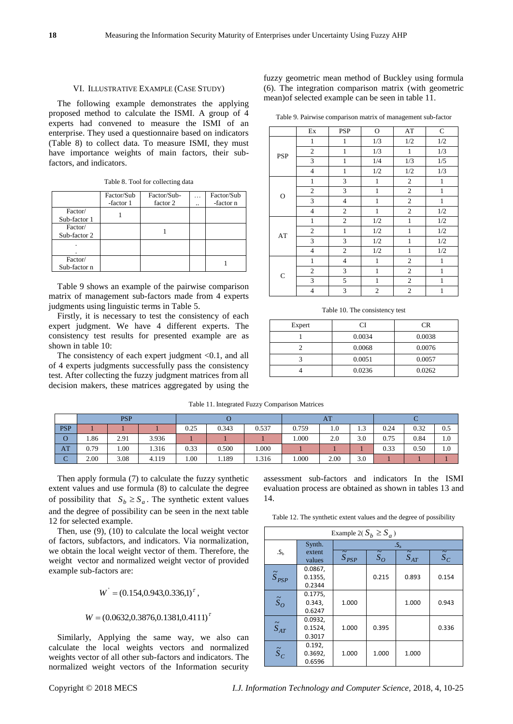#### VI. ILLUSTRATIVE EXAMPLE (CASE STUDY)

The following example demonstrates the applying proposed method to calculate the ISMI. A group of 4 experts had convened to measure the ISMI of an enterprise. They used a questionnaire based on indicators (Table 8) to collect data. To measure ISMI, they must have importance weights of main factors, their subfactors, and indicators.

|              | Factor/Sub | Factor/Sub- | Factor/Sub    |
|--------------|------------|-------------|---------------|
|              | -factor 1  | factor 2    | <br>-factor n |
| Factor/      |            |             |               |
| Sub-factor 1 |            |             |               |
| Factor/      |            |             |               |
| Sub-factor 2 |            |             |               |
|              |            |             |               |
|              |            |             |               |
| Factor/      |            |             |               |

Table 8. Tool for collecting data

Table 9 shows an example of the pairwise comparison matrix of management sub-factors made from 4 experts judgments using linguistic terms in Table 5.

Firstly, it is necessary to test the consistency of each expert judgment. We have 4 different experts. The consistency test results for presented example are as shown in table 10:

The consistency of each expert judgment  $< 0.1$ , and all of 4 experts judgments successfully pass the consistency test. After collecting the fuzzy judgment matrices from all decision makers, these matrices aggregated by using the fuzzy geometric mean method of Buckley using formula (6). The integration comparison matrix (with geometric mean)of selected example can be seen in table 11.

Table 9. Pairwise comparison matrix of management sub-factor

|             | Ex             | <b>PSP</b>               | $\mathbf O$    | AT             | $\mathsf{C}$ |
|-------------|----------------|--------------------------|----------------|----------------|--------------|
|             | $\mathbf{1}$   | $\mathbf{1}$             | 1/3            | 1/2            | 1/2          |
| <b>PSP</b>  | $\sqrt{2}$     | $\,1$                    | 1/3            | $\mathbf{1}$   | 1/3          |
|             | 3              | 1                        | 1/4            | 1/3            | 1/5          |
|             | $\overline{4}$ | $\mathbf{1}$             | $1/2\,$        | 1/2            | 1/3          |
|             | $\mathbf{1}$   | 3                        | $\mathbf{1}$   | $\overline{2}$ | $\mathbf{1}$ |
| $\mathbf O$ | $\overline{c}$ | 3                        | $\mathbf{1}$   | $\sqrt{2}$     | 1            |
|             | 3              | $\overline{\mathcal{L}}$ | $\mathbf{1}$   | $\sqrt{2}$     | $\,1$        |
|             | $\overline{4}$ | $\mathfrak{2}$           | $\mathbf{1}$   | $\sqrt{2}$     | $1/2\,$      |
|             | $\mathbf{1}$   | $\mathfrak{2}$           | $1/2\,$        | $\mathbf{1}$   | $1/2\,$      |
| AT          | $\mathbf{2}$   | $\mathbf{1}$             | $1/2\,$        | $\mathbf{1}$   | $1/2\,$      |
|             | 3              | 3                        | $1/2\,$        | $\mathbf{1}$   | $1/2\,$      |
|             | $\overline{4}$ | $\mathfrak{2}$           | 1/2            | $\,1\,$        | $1/2\,$      |
| $\mathbf C$ | $\mathbf{1}$   | $\overline{4}$           | $\mathbf{1}$   | $\mathbf{2}$   | $\mathbf{1}$ |
|             | $\mathfrak{2}$ | 3                        | $\mathbf{1}$   | $\sqrt{2}$     | $\mathbf{1}$ |
|             | 3              | 5                        | $\mathbf{1}$   | $\sqrt{2}$     | $\mathbf{1}$ |
|             | $\overline{4}$ | 3                        | $\overline{c}$ | $\overline{c}$ | $\mathbf{1}$ |

Table 10. The consistency test

| Expert | ா      | CR     |
|--------|--------|--------|
|        | 0.0034 | 0.0038 |
|        | 0.0068 | 0.0076 |
|        | 0.0051 | 0.0057 |
|        | 0.0236 | 0.0262 |

|                 |      | <b>PSP</b> |       |      |       |       |       | AT   |          |      |      |     |  |
|-----------------|------|------------|-------|------|-------|-------|-------|------|----------|------|------|-----|--|
| <b>PSP</b>      |      |            |       | 0.25 | 0.343 |       | 0.759 | 1.0  | ാ<br>1.J | 0.24 | 0.32 | 0.5 |  |
| O               | 1.86 | 2.91       | 3.936 |      |       |       | 1.000 | 2.0  | 3.0      | 0.75 | 0.84 | 1.0 |  |
| AT              | 0.79 | 1.00       | 1.316 | 0.33 | 0.500 | 1.000 |       |      |          | 0.33 | 0.50 | 1.0 |  |
| $\sqrt{2}$<br>◡ | 2.00 | 3.08       | 4.119 | 00.1 | 1.189 | 1.316 | 000.1 | 2.00 | 3.0      |      |      |     |  |

Then apply formula (7) to calculate the fuzzy synthetic extent values and use formula (8) to calculate the degree of possibility that  $S_b \geq S_a$ . The synthetic extent values and the degree of possibility can be seen in the next table 12 for selected example.

Then, use (9), (10) to calculate the local weight vector of factors, subfactors, and indicators. Via normalization, we obtain the local weight vector of them. Therefore, the weight vector and normalized weight vector of provided example sub-factors are:

$$
W = (0.154, 0.943, 0.336, 1)^{\tau},
$$

#### $W = (0.0632, 0.3876, 0.1381, 0.4111)^{\tau}$

Similarly, Applying the same way, we also can calculate the local weights vectors and normalized weights vector of all other sub-factors and indicators. The normalized weight vectors of the Information security

assessment sub-factors and indicators In the ISMI evaluation process are obtained as shown in tables 13 and 14.

Table 12. The synthetic extent values and the degree of possibility

| Example 2( $S_h \geq S_a$ ) |                  |                       |               |                      |               |  |  |  |  |  |  |  |
|-----------------------------|------------------|-----------------------|---------------|----------------------|---------------|--|--|--|--|--|--|--|
|                             | Synth.           | .S <sub>a</sub>       |               |                      |               |  |  |  |  |  |  |  |
| .S <sub>h</sub>             | extent<br>values | $\widetilde{S}_{PSP}$ | $\tilde{S}_O$ | $\widetilde{S}_{AT}$ | $\tilde{S}_C$ |  |  |  |  |  |  |  |
|                             | 0.0867,          |                       |               |                      |               |  |  |  |  |  |  |  |
| $\widetilde{S}_{PSP}$       | 0.1355,          |                       | 0.215         | 0.893                | 0.154         |  |  |  |  |  |  |  |
|                             | 0.2344           |                       |               |                      |               |  |  |  |  |  |  |  |
|                             | 0.1775,          |                       |               |                      |               |  |  |  |  |  |  |  |
| $\tilde{S}_O$               | 0.343,           | 1.000                 |               | 1.000                | 0.943         |  |  |  |  |  |  |  |
|                             | 0.6247           |                       |               |                      |               |  |  |  |  |  |  |  |
|                             | 0.0932,          |                       |               |                      |               |  |  |  |  |  |  |  |
| $\widetilde{S}_{AT}$        | 0.1524,          | 1.000                 | 0.395         |                      | 0.336         |  |  |  |  |  |  |  |
|                             | 0.3017           |                       |               |                      |               |  |  |  |  |  |  |  |
|                             | 0.192,           |                       |               |                      |               |  |  |  |  |  |  |  |
| $\tilde{S}_C$               | 0.3692,          | 1.000                 | 1.000         | 1.000                |               |  |  |  |  |  |  |  |
|                             | 0.6596           |                       |               |                      |               |  |  |  |  |  |  |  |

Sub-factor n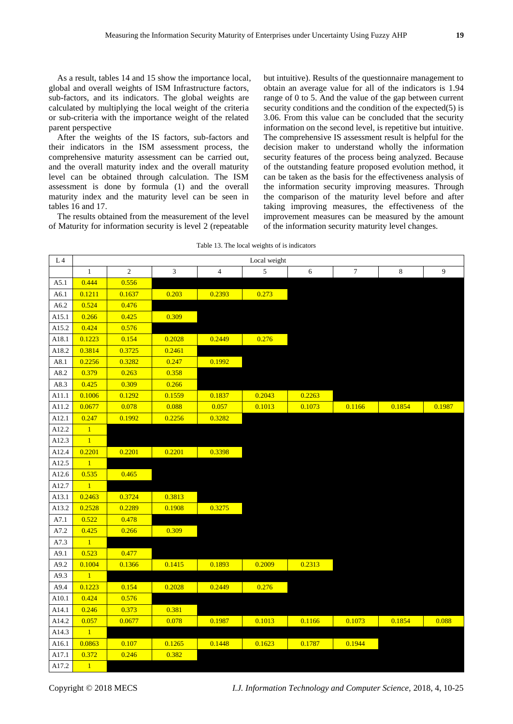As a result, tables 14 and 15 show the importance local, global and overall weights of ISM Infrastructure factors, sub-factors, and its indicators. The global weights are calculated by multiplying the local weight of the criteria or sub-criteria with the importance weight of the related parent perspective

After the weights of the IS factors, sub-factors and their indicators in the ISM assessment process, the comprehensive maturity assessment can be carried out, and the overall maturity index and the overall maturity level can be obtained through calculation. The ISM assessment is done by formula (1) and the overall maturity index and the maturity level can be seen in tables 16 and 17.

The results obtained from the measurement of the level of Maturity for information security is level 2 (repeatable but intuitive). Results of the questionnaire management to obtain an average value for all of the indicators is 1.94 range of 0 to 5. And the value of the gap between current security conditions and the condition of the expected(5) is 3.06. From this value can be concluded that the security information on the second level, is repetitive but intuitive. The comprehensive IS assessment result is helpful for the decision maker to understand wholly the information security features of the process being analyzed. Because of the outstanding feature proposed evolution method, it can be taken as the basis for the effectiveness analysis of the information security improving measures. Through the comparison of the maturity level before and after taking improving measures, the effectiveness of the improvement measures can be measured by the amount of the information security maturity level changes.

| L4         |                | Local weight     |                             |                |            |        |        |         |        |  |  |  |
|------------|----------------|------------------|-----------------------------|----------------|------------|--------|--------|---------|--------|--|--|--|
|            | $\mathbf{1}$   | $\boldsymbol{2}$ | $\ensuremath{\mathfrak{Z}}$ | $\overline{4}$ | $\sqrt{5}$ | 6      | 7      | $\,8\,$ | 9      |  |  |  |
| A5.1       | 0.444          | 0.556            |                             |                |            |        |        |         |        |  |  |  |
| A6.1       | 0.1211         | 0.1637           | 0.203                       | 0.2393         | 0.273      |        |        |         |        |  |  |  |
| A6.2       | 0.524          | 0.476            |                             |                |            |        |        |         |        |  |  |  |
| A15.1      | 0.266          | 0.425            | 0.309                       |                |            |        |        |         |        |  |  |  |
| A15.2      | 0.424          | 0.576            |                             |                |            |        |        |         |        |  |  |  |
| A18.1      | 0.1223         | 0.154            | 0.2028                      | 0.2449         | 0.276      |        |        |         |        |  |  |  |
| A18.2      | 0.3814         | 0.3725           | 0.2461                      |                |            |        |        |         |        |  |  |  |
| A8.1       | 0.2256         | 0.3282           | 0.247                       | 0.1992         |            |        |        |         |        |  |  |  |
| A8.2       | 0.379          | 0.263            | 0.358                       |                |            |        |        |         |        |  |  |  |
| A8.3       | 0.425          | 0.309            | 0.266                       |                |            |        |        |         |        |  |  |  |
| A11.1      | 0.1006         | 0.1292           | 0.1559                      | 0.1837         | 0.2043     | 0.2263 |        |         |        |  |  |  |
| A11.2      | 0.0677         | 0.078            | 0.088                       | 0.057          | 0.1013     | 0.1073 | 0.1166 | 0.1854  | 0.1987 |  |  |  |
| A12.1      | 0.247          | 0.1992           | 0.2256                      | 0.3282         |            |        |        |         |        |  |  |  |
| A12.2      | $\overline{1}$ |                  |                             |                |            |        |        |         |        |  |  |  |
| A12.3      | $\,1\,$        |                  |                             |                |            |        |        |         |        |  |  |  |
| A12.4      | 0.2201         | 0.2201           | 0.2201                      | 0.3398         |            |        |        |         |        |  |  |  |
| A12.5      | $\mathbf{1}$   |                  |                             |                |            |        |        |         |        |  |  |  |
| A12.6      | 0.535          | 0.465            |                             |                |            |        |        |         |        |  |  |  |
| A12.7      | $\mathbf{1}$   |                  |                             |                |            |        |        |         |        |  |  |  |
| A13.1      | 0.2463         | 0.3724           | 0.3813                      |                |            |        |        |         |        |  |  |  |
| A13.2      | 0.2528         | 0.2289           | 0.1908                      | 0.3275         |            |        |        |         |        |  |  |  |
| A7.1       | 0.522          | 0.478            |                             |                |            |        |        |         |        |  |  |  |
| $\rm A7.2$ | 0.425          | 0.266            | 0.309                       |                |            |        |        |         |        |  |  |  |
| A7.3       | $\mathbf{1}$   |                  |                             |                |            |        |        |         |        |  |  |  |
| A9.1       | 0.523          | 0.477            |                             |                |            |        |        |         |        |  |  |  |
| A9.2       | 0.1004         | 0.1366           | 0.1415                      | 0.1893         | 0.2009     | 0.2313 |        |         |        |  |  |  |
| A9.3       | $\overline{1}$ |                  |                             |                |            |        |        |         |        |  |  |  |
| A9.4       | 0.1223         | 0.154            | 0.2028                      | 0.2449         | 0.276      |        |        |         |        |  |  |  |
| A10.1      | 0.424          | 0.576            |                             |                |            |        |        |         |        |  |  |  |
| A14.1      | 0.246          | 0.373            | 0.381                       |                |            |        |        |         |        |  |  |  |
| A14.2      | 0.057          | 0.0677           | 0.078                       | 0.1987         | 0.1013     | 0.1166 | 0.1073 | 0.1854  | 0.088  |  |  |  |
| A14.3      | $\mathbf{1}$   |                  |                             |                |            |        |        |         |        |  |  |  |
| A16.1      | 0.0863         | 0.107            | 0.1265                      | 0.1448         | 0.1623     | 0.1787 | 0.1944 |         |        |  |  |  |
| A17.1      | 0.372          | 0.246            | 0.382                       |                |            |        |        |         |        |  |  |  |
| A17.2      | $\overline{1}$ |                  |                             |                |            |        |        |         |        |  |  |  |

Copyright © 2018 MECS *I.J. Information Technology and Computer Science,* 2018, 4, 10-25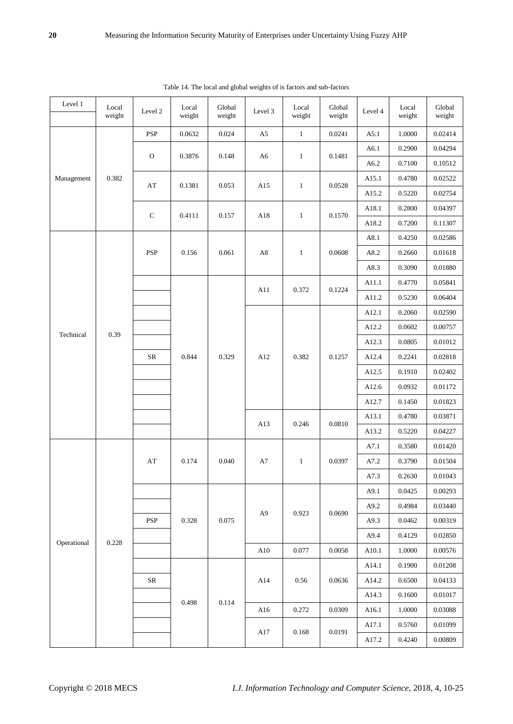| Level 1     | Local<br>weight | Level 2                | Local<br>weight | Global<br>weight | Level 3        | Local<br>weight | Global<br>weight | Level 4 | Local<br>weight | Global<br>weight |
|-------------|-----------------|------------------------|-----------------|------------------|----------------|-----------------|------------------|---------|-----------------|------------------|
|             |                 | <b>PSP</b>             | 0.0632          | 0.024            | A5             | $\mathbf{1}$    | 0.0241           | A5.1    | 1.0000          | 0.02414          |
| Management  |                 |                        |                 |                  |                |                 |                  | A6.1    | 0.2900          | 0.04294          |
|             |                 | $\mathbf O$            | 0.3876          | 0.148            | A <sub>6</sub> | $\mathbf{1}$    | 0.1481           | A6.2    | 0.7100          | 0.10512          |
|             | 0.382           |                        |                 |                  |                |                 |                  | A15.1   | 0.4780          | 0.02522          |
|             |                 | $\mathbf{A}\mathbf{T}$ | 0.1381          | 0.053            | A15            | $\mathbf{1}$    | 0.0528           | A15.2   | 0.5220          | 0.02754          |
|             |                 |                        |                 | 0.157            |                |                 |                  | A18.1   | 0.2800          | 0.04397          |
|             |                 | ${\bf C}$              | 0.4111          |                  | A18            | $\mathbf{1}$    | 0.1570           | A18.2   | 0.7200          | 0.11307          |
|             |                 |                        |                 |                  |                |                 |                  | A8.1    | 0.4250          | 0.02586          |
|             |                 | PSP                    | 0.156           | 0.061            | A8             | $\mathbf{1}$    | 0.0608           | A8.2    | 0.2660          | 0.01618          |
|             |                 |                        |                 |                  |                |                 |                  | A8.3    | 0.3090          | 0.01880          |
|             |                 |                        |                 |                  | A11            | 0.372           | 0.1224           | A11.1   | 0.4770          | 0.05841          |
|             |                 |                        |                 |                  |                |                 |                  | A11.2   | 0.5230          | 0.06404          |
|             |                 |                        |                 |                  |                |                 |                  | A12.1   | 0.2060          | 0.02590          |
| Technical   | 0.39            |                        |                 | 0.329            | A12            |                 |                  | A12.2   | 0.0602          | 0.00757          |
|             |                 |                        |                 |                  |                | 0.382           | 0.1257           | A12.3   | 0.0805          | 0.01012          |
|             |                 | ${\sf SR}$             | 0.844           |                  |                |                 |                  | A12.4   | 0.2241          | 0.02818          |
|             |                 |                        |                 |                  |                |                 |                  | A12.5   | 0.1910          | 0.02402          |
|             |                 |                        |                 |                  |                |                 |                  | A12.6   | 0.0932          | 0.01172          |
|             |                 |                        |                 |                  |                |                 |                  | A12.7   | 0.1450          | 0.01823          |
|             |                 |                        |                 |                  | A13            | 0.246           | 0.0810           | A13.1   | 0.4780          | 0.03871          |
|             |                 |                        |                 |                  |                |                 |                  | A13.2   | 0.5220          | 0.04227          |
|             |                 |                        |                 | 0.040            |                |                 |                  | A7.1    | 0.3580          | 0.01420          |
|             |                 | AT                     | 0.174           |                  | A7             | $\mathbf{1}$    | 0.0397           | A7.2    | 0.3790          | 0.01504          |
|             |                 |                        |                 |                  |                |                 |                  | A7.3    | 0.2630          | 0.01043          |
|             |                 |                        |                 |                  |                |                 |                  | A9.1    | 0.0425          | 0.00293          |
|             |                 |                        |                 |                  | A <sub>9</sub> | 0.923           | 0.0690           | A9.2    | 0.4984          | 0.03440          |
|             |                 | <b>PSP</b>             | 0.328           | 0.075            |                |                 |                  | A9.3    | 0.0462          | 0.00319          |
| Operational | 0.228           |                        |                 |                  |                |                 |                  | A9.4    | 0.4129          | 0.02850          |
|             |                 |                        |                 |                  | ${\rm A}10$    | 0.077           | 0.0058           | A10.1   | 1.0000          | 0.00576          |
|             |                 |                        |                 |                  |                |                 |                  | A14.1   | 0.1900          | 0.01208          |
|             |                 | ${\rm SR}$             |                 |                  | A14            | 0.56            | 0.0636           | A14.2   | 0.6500          | 0.04133          |
|             |                 |                        | 0.498           | $0.114\,$        |                |                 |                  | A14.3   | 0.1600          | 0.01017          |
|             |                 |                        |                 |                  | A16            | 0.272           | 0.0309           | A16.1   | $1.0000\,$      | 0.03088          |
|             |                 |                        |                 |                  | $\rm A17$      | 0.168           | 0.0191           | A17.1   | 0.5760          | 0.01099          |
|             |                 |                        |                 |                  |                |                 |                  | A17.2   | 0.4240          | 0.00809          |

Table 14. The local and global weights of is factors and sub-factors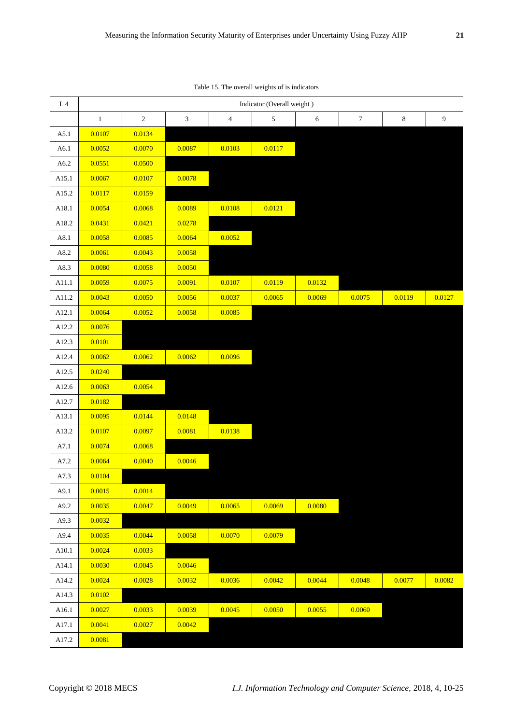| L <sub>4</sub> | Indicator (Overall weight) |            |                |                |                |        |                  |         |                  |  |  |  |  |
|----------------|----------------------------|------------|----------------|----------------|----------------|--------|------------------|---------|------------------|--|--|--|--|
|                | $\mathbf{1}$               | $\sqrt{2}$ | $\mathfrak{Z}$ | $\overline{4}$ | $\mathfrak{S}$ | 6      | $\boldsymbol{7}$ | $\,8\,$ | $\boldsymbol{9}$ |  |  |  |  |
| A5.1           | 0.0107                     | 0.0134     |                |                |                |        |                  |         |                  |  |  |  |  |
| A6.1           | 0.0052                     | 0.0070     | 0.0087         | 0.0103         | 0.0117         |        |                  |         |                  |  |  |  |  |
| A6.2           | 0.0551                     | 0.0500     |                |                |                |        |                  |         |                  |  |  |  |  |
| A15.1          | 0.0067                     | 0.0107     | 0.0078         |                |                |        |                  |         |                  |  |  |  |  |
| A15.2          | 0.0117                     | 0.0159     |                |                |                |        |                  |         |                  |  |  |  |  |
| A18.1          | 0.0054                     | 0.0068     | 0.0089         | 0.0108         | 0.0121         |        |                  |         |                  |  |  |  |  |
| A18.2          | 0.0431                     | 0.0421     | 0.0278         |                |                |        |                  |         |                  |  |  |  |  |
| A8.1           | 0.0058                     | 0.0085     | 0.0064         | 0.0052         |                |        |                  |         |                  |  |  |  |  |
| A8.2           | 0.0061                     | 0.0043     | 0.0058         |                |                |        |                  |         |                  |  |  |  |  |
| A8.3           | 0.0080                     | 0.0058     | 0.0050         |                |                |        |                  |         |                  |  |  |  |  |
| A11.1          | 0.0059                     | 0.0075     | 0.0091         | 0.0107         | 0.0119         | 0.0132 |                  |         |                  |  |  |  |  |
| A11.2          | 0.0043                     | 0.0050     | 0.0056         | 0.0037         | 0.0065         | 0.0069 | 0.0075           | 0.0119  | 0.0127           |  |  |  |  |
| A12.1          | 0.0064                     | 0.0052     | 0.0058         | 0.0085         |                |        |                  |         |                  |  |  |  |  |
| A12.2          | 0.0076                     |            |                |                |                |        |                  |         |                  |  |  |  |  |
| A12.3          | 0.0101                     |            |                |                |                |        |                  |         |                  |  |  |  |  |
| A12.4          | 0.0062                     | 0.0062     | 0.0062         | 0.0096         |                |        |                  |         |                  |  |  |  |  |
| A12.5          | 0.0240                     |            |                |                |                |        |                  |         |                  |  |  |  |  |
| A12.6          | 0.0063                     | 0.0054     |                |                |                |        |                  |         |                  |  |  |  |  |
| A12.7          | 0.0182                     |            |                |                |                |        |                  |         |                  |  |  |  |  |
| A13.1          | 0.0095                     | 0.0144     | 0.0148         |                |                |        |                  |         |                  |  |  |  |  |
| A13.2          | 0.0107                     | 0.0097     | 0.0081         | 0.0138         |                |        |                  |         |                  |  |  |  |  |
| A7.1           | 0.0074                     | 0.0068     |                |                |                |        |                  |         |                  |  |  |  |  |
| $\rm A7.2$     | 0.0064                     | 0.0040     | 0.0046         |                |                |        |                  |         |                  |  |  |  |  |
| A7.3           | 0.0104                     |            |                |                |                |        |                  |         |                  |  |  |  |  |
| A9.1           | 0.0015                     | 0.0014     |                |                |                |        |                  |         |                  |  |  |  |  |
| A9.2           | 0.0035                     | 0.0047     | 0.0049         | 0.0065         | 0.0069         | 0.0080 |                  |         |                  |  |  |  |  |
| A9.3           | 0.0032                     |            |                |                |                |        |                  |         |                  |  |  |  |  |
| A9.4           | 0.0035                     | 0.0044     | 0.0058         | 0.0070         | 0.0079         |        |                  |         |                  |  |  |  |  |
| A10.1          | 0.0024                     | 0.0033     |                |                |                |        |                  |         |                  |  |  |  |  |
| A14.1          | 0.0030                     | 0.0045     | 0.0046         |                |                |        |                  |         |                  |  |  |  |  |
| A14.2          | 0.0024                     | 0.0028     | 0.0032         | 0.0036         | 0.0042         | 0.0044 | 0.0048           | 0.0077  | 0.0082           |  |  |  |  |
| A14.3          | 0.0102                     |            |                |                |                |        |                  |         |                  |  |  |  |  |
| A16.1          | 0.0027                     | 0.0033     | 0.0039         | 0.0045         | 0.0050         | 0.0055 | 0.0060           |         |                  |  |  |  |  |
| A17.1          | 0.0041                     | 0.0027     | 0.0042         |                |                |        |                  |         |                  |  |  |  |  |
| A17.2          | 0.0081                     |            |                |                |                |        |                  |         |                  |  |  |  |  |

Table 15. The overall weights of is indicators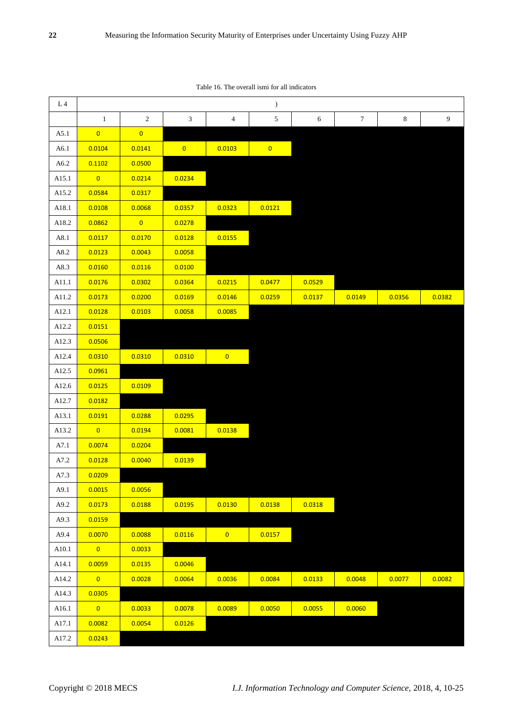Table 16. The overall ismi for all indicators

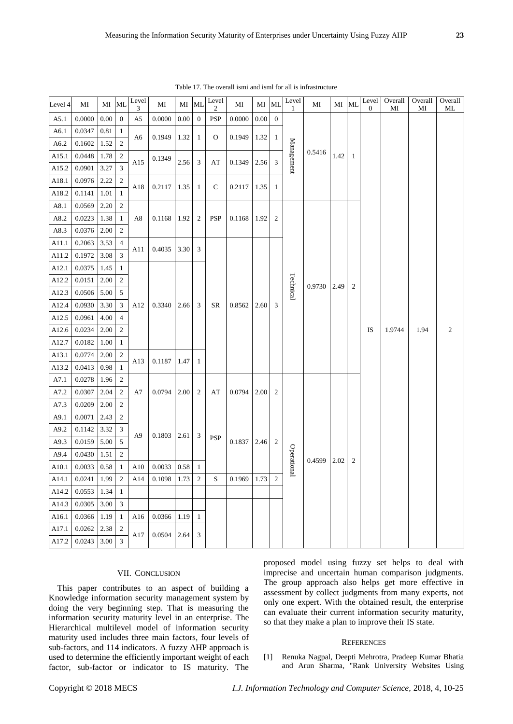| Level 4  | MI     | МI       | ML               | Level<br>3     | MI              | МI       | <b>ML</b>        | Level<br>$\mathfrak{2}$ | MI     | MI       | <b>ML</b>                   | Level<br>1  | MI     | MI ML |                          | Level<br>$\boldsymbol{0}$ | Overall<br>MI | Overall<br>MI | Overall<br>$\rm ML$ |
|----------|--------|----------|------------------|----------------|-----------------|----------|------------------|-------------------------|--------|----------|-----------------------------|-------------|--------|-------|--------------------------|---------------------------|---------------|---------------|---------------------|
| A5.1     | 0.0000 | $0.00\,$ | $\boldsymbol{0}$ | A5             | $0.0000\,$      | $0.00\,$ | $\boldsymbol{0}$ | <b>PSP</b>              | 0.0000 | $0.00\,$ | $\boldsymbol{0}$            |             |        |       |                          |                           |               |               |                     |
| A6.1     | 0.0347 | 0.81     | $\mathbf{1}$     |                |                 |          |                  |                         |        |          |                             |             |        |       |                          |                           |               |               |                     |
| A6.2     | 0.1602 | 1.52     | $\sqrt{2}$       | A <sub>6</sub> | 0.1949          | 1.32     | $\mathbf{1}$     | $\mathbf O$             | 0.1949 | 1.32     | $\mathbf{1}$                |             |        |       |                          |                           |               |               |                     |
| A15.1    | 0.0448 | 1.78     | $\sqrt{2}$       |                | 0.1349          |          |                  |                         |        |          |                             | Management  | 0.5416 | 1.42  | $\mathbf{1}$             |                           |               |               |                     |
| A15.2    | 0.0901 | 3.27     | $\mathfrak{Z}$   | A15            |                 | 2.56     | 3                | AT                      | 0.1349 | 2.56     | $\ensuremath{\mathfrak{Z}}$ |             |        |       |                          |                           |               |               | $\boldsymbol{2}$    |
| A18.1    | 0.0976 | 2.22     | $\sqrt{2}$       |                |                 |          |                  |                         |        | 1.35     |                             |             |        |       |                          |                           |               |               |                     |
| A18.2    | 0.1141 | 1.01     | $\,1\,$          | A18            | 0.2117          | 1.35     | $\mathbf{1}$     | ${\bf C}$               | 0.2117 |          | $\mathbf{1}$                |             |        |       |                          |                           |               |               |                     |
| A8.1     | 0.0569 | 2.20     | $\sqrt{2}$       |                |                 |          |                  |                         |        |          |                             |             |        |       |                          |                           |               |               |                     |
| A8.2     | 0.0223 | 1.38     | $\mathbf{1}$     | A8             | $0.1168$   1.92 |          | $\overline{c}$   | <b>PSP</b>              | 0.1168 | 1.92     | $\overline{2}$              |             |        |       |                          |                           |               |               |                     |
| A8.3     | 0.0376 | $2.00\,$ | $\sqrt{2}$       |                |                 |          |                  |                         |        |          |                             |             |        |       |                          |                           |               |               |                     |
| A11.1    | 0.2063 | 3.53     | $\overline{4}$   | A11            | 0.4035          | 3.30     | 3                |                         |        |          |                             |             |        |       | 2.49<br>$\boldsymbol{2}$ |                           |               |               |                     |
| A11.2    | 0.1972 | 3.08     | $\mathfrak{Z}$   |                |                 |          |                  |                         |        |          |                             |             |        |       |                          |                           |               |               |                     |
| A12.1    | 0.0375 | 1.45     | $\mathbf{1}$     |                |                 |          |                  |                         |        |          |                             |             | 0.9730 |       |                          |                           |               |               |                     |
| A12.2    | 0.0151 | 2.00     | $\sqrt{2}$       |                |                 |          | 3                |                         |        | 2.60     | 3                           | Technical   |        |       |                          |                           |               |               |                     |
| A12.3    | 0.0506 | 5.00     | $\mathfrak{S}$   |                |                 |          |                  |                         |        |          |                             |             |        |       |                          |                           |               |               |                     |
| A12.4    | 0.0930 | 3.30     | $\mathfrak{Z}$   | A12            | 0.3340          | 2.66     |                  | <b>SR</b>               | 0.8562 |          |                             |             |        |       |                          |                           |               |               |                     |
| A12.5    | 0.0961 | 4.00     | $\overline{4}$   |                |                 |          |                  |                         |        |          |                             |             |        |       |                          |                           |               |               |                     |
| A12.6    | 0.0234 | $2.00\,$ | $\sqrt{2}$       |                |                 |          |                  |                         |        |          |                             |             |        |       |                          | IS                        | 1.9744        | 1.94          |                     |
| A12.7    | 0.0182 | 1.00     | $\mathbf{1}$     |                |                 |          |                  |                         |        |          |                             |             |        |       |                          |                           |               |               |                     |
| A13.1    | 0.0774 | $2.00\,$ | $\sqrt{2}$       | A13            | 0.1187          | 1.47     | 1                |                         |        |          |                             |             |        |       |                          |                           |               |               |                     |
| A13.2    | 0.0413 | 0.98     | $1\,$            |                |                 |          |                  |                         |        |          |                             |             |        |       |                          |                           |               |               |                     |
| A7.1     | 0.0278 | 1.96     | $\sqrt{2}$       |                |                 |          |                  |                         |        |          |                             |             |        |       |                          |                           |               |               |                     |
| A7.2     | 0.0307 | 2.04     | $\sqrt{2}$       | A7             | 0.0794          | $2.00\,$ | $\boldsymbol{2}$ | AT                      | 0.0794 | 2.00     | $\overline{c}$              |             |        |       |                          |                           |               |               |                     |
| A7.3     | 0.0209 | $2.00\,$ | $\sqrt{2}$       |                |                 |          |                  |                         |        |          |                             |             |        |       |                          |                           |               |               |                     |
| A9.1     | 0.0071 | 2.43     | $\sqrt{2}$       |                |                 |          |                  |                         |        |          |                             |             |        |       |                          |                           |               |               |                     |
| A9.2     | 0.1142 | 3.32     | $\sqrt{3}$       | A <sub>9</sub> | 0.1803          | 2.61     | 3                |                         |        |          |                             |             |        |       |                          |                           |               |               |                     |
| A9.3     | 0.0159 | 5.00     | $\mathfrak{S}$   |                |                 |          |                  | <b>PSP</b>              | 0.1837 | 2.46     | $\overline{2}$              |             |        |       |                          |                           |               |               |                     |
| A9.4     | 0.0430 | 1.51     | $\sqrt{2}$       |                |                 |          |                  |                         |        |          |                             | Operational | 0.4599 | 2.02  | $\overline{c}$           |                           |               |               |                     |
| A10.1    | 0.0033 | $0.58\,$ | $\,1\,$          | A10            | 0.0033          | $0.58\,$ | $\mathbf{1}$     |                         |        |          |                             |             |        |       |                          |                           |               |               |                     |
| A $14.1$ | 0.0241 | 1.99     | $\overline{2}$   | A14            | $0.1098$ 1.73   |          | $\sqrt{2}$       | S                       | 0.1969 | 1.73     | $\overline{2}$              |             |        |       |                          |                           |               |               |                     |
| A14.2    | 0.0553 | 1.34     | -1               |                |                 |          |                  |                         |        |          |                             |             |        |       |                          |                           |               |               |                     |
| A14.3    | 0.0305 | 3.00     | 3                |                |                 |          |                  |                         |        |          |                             |             |        |       |                          |                           |               |               |                     |
| A16.1    | 0.0366 | 1.19     | -1               | A16            | 0.0366          | 1.19     | 1                |                         |        |          |                             |             |        |       |                          |                           |               |               |                     |
| A17.1    | 0.0262 | 2.38     | $\overline{2}$   | A17            | $0.0504$ 2.64   |          | 3                |                         |        |          |                             |             |        |       |                          |                           |               |               |                     |
| A17.2    | 0.0243 | 3.00     | $\mathfrak{Z}$   |                |                 |          |                  |                         |        |          |                             |             |        |       |                          |                           |               |               |                     |

Table 17. The overall ismi and isml for all is infrastructure

# VII. CONCLUSION

This paper contributes to an aspect of building a Knowledge information security management system by doing the very beginning step. That is measuring the information security maturity level in an enterprise. The Hierarchical multilevel model of information security maturity used includes three main factors, four levels of sub-factors, and 114 indicators. A fuzzy AHP approach is used to determine the efficiently important weight of each factor, sub-factor or indicator to IS maturity. The

proposed model using fuzzy set helps to deal with imprecise and uncertain human comparison judgments. The group approach also helps get more effective in assessment by collect judgments from many experts, not only one expert. With the obtained result, the enterprise can evaluate their current information security maturity, so that they make a plan to improve their IS state.

#### **REFERENCES**

[1] Renuka Nagpal*,* Deepti Mehrotra, Pradeep Kumar Bhatia and Arun Sharma*,* "Rank University Websites Using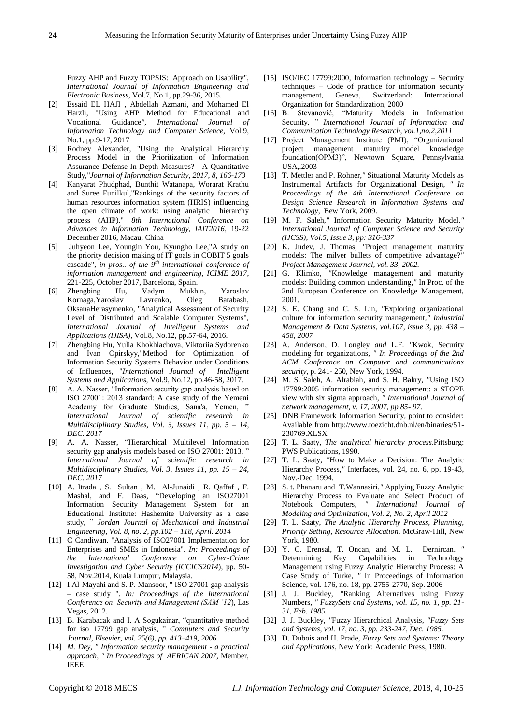Fuzzy AHP and Fuzzy TOPSIS: Approach on Usability", *International Journal of Information Engineering and Electronic Business*, Vol.7, No.1, pp.29-36, 2015.

- [2] Essaid EL HAJI , Abdellah Azmani, and Mohamed El Harzli, "Using AHP Method for Educational and Vocational Guidance*", International Journal of Information Technology and Computer Science,* Vol.9, No.1, pp.9-17, 2017
- [3] Rodney Alexander, "Using the Analytical Hierarchy Process Model in the Prioritization of Information Assurance Defense-In-Depth Measures?—A Quantitative Study,"*Journal of Information Security, 2017, 8, 166-173*
- [4] Kanyarat Phudphad, Bunthit Watanapa, Worarat Krathu and Suree Funilkul,"Rankings of the security factors of human resources information system (HRIS) influencing the open climate of work: using analytic hierarchy process (AHP)," *8th International Conference on Advances in Information Technology, IAIT2016*, 19-22 December 2016, Macau, China
- [5] Juhyeon Lee, Youngin You, Kyungho Lee,"A study on the priority decision making of IT goals in COBIT 5 goals cascade", *in pros.. of the*  $9<sup>th</sup>$  *international conference of information management and engineering, ICIME 2017*, 221-225, October 2017, Barcelona, Spain.
- [6] Zhengbing Hu, Vadym Mukhin, Yaroslav Kornaga,Yaroslav Lavrenko, Oleg Barabash, OksanaHerasymenko, "Analytical Assessment of Security Level of Distributed and Scalable Computer Systems" *International Journal of Intelligent Systems and Applications (IJISA)*, Vol.8, No.12, pp.57-64, 2016.
- [7] Zhengbing Hu, Yulia Khokhlachova, Viktoriia Sydorenko and Ivan Opirskyy,"Method for Optimization of Information Security Systems Behavior under Conditions of Influences, "*International Journal of Intelligent Systems and Applications,* Vol.9, No.12, pp.46-58, 2017.
- [8] A. A. Nasser, "Information security gap analysis based on ISO 27001: 2013 standard: A case study of the Yemeni Academy for Graduate Studies, Sana'a, Yemen, " *International Journal of scientific research in Multidisciplinary Studies, Vol. 3, Issues 11, pp. 5 – 14, DEC. 2017*
- [9] A. A. Nasser, "Hierarchical Multilevel Information security gap analysis models based on ISO 27001: 2013, " *International Journal of scientific research in Multidisciplinary Studies, Vol. 3, Issues 11, pp. 15 – 24, DEC. 2017*
- [10] A. Itrada , S. Sultan , M. Al-Junaidi , R. Qaffaf , F. Mashal, and F. Daas, "Developing an ISO27001 Information Security Management System for an Educational Institute: Hashemite University as a case study, " *Jordan Journal of Mechanical and Industrial Engineering, Vol. 8, no. 2, pp.102 – 118, April. 2014*
- [11] C Candiwan, "Analysis of ISO27001 Implementation for Enterprises and SMEs in Indonesia". *In: Proceedings of the International Conference on Cyber-Crime Investigation and Cyber Security (ICCICS2014*), pp. 50- 58, Nov.2014, Kuala Lumpur, Malaysia.
- [12] I Al-Mayahi and S. P. Mansoor, "ISO 27001 gap analysis – case study ". *In: Proceedings of the International Conference on Security and Management (SAM '12*), Las Vegas, 2012.
- [13] B. Karabacak and I. A Sogukainar, "quantitative method for iso 17799 gap analysis, " *Computers and Security Journal, Elsevier, vol. 25(6), pp. 413–419, 2006*
- [14] *M. Dey, " Information security management - a practical approach, " In Proceedings of AFRICAN 2007,* Member, IEEE
- [15] ISO/IEC 17799:2000, Information technology Security techniques – Code of practice for information security management, Geneva, Switzerland: International Organization for Standardization, 2000
- [16] B. Stevanović*,* "Maturity Models in Information Security, " *International Journal of Information and Communication Technology Research, vol.1,no.2,2011*
- [17] Project Management Institute (PMI), "Organizational project management maturity model knowledge foundation(OPM3)", Newtown Square, Pennsylvania USA,.2003
- [18] T. Mettler and P. Rohner,*"* Situational Maturity Models as Instrumental Artifacts for Organizational Design*, " In Proceedings of the 4th International Conference on Design Science Research in Information Systems and Technology*, Bew York, 2009.
- [19] M. F. Saleh,*"* Information Security Maturity Model*," International Journal of Computer Science and Security (IJCSS), Vol.5, Issue 3, pp: 316-337*
- [20] K. Judev, J. Thomas*, "*Project management maturity models: The milver bullets of competitive advantage?*" Project Management Journal, vol. 33, 2002.*
- [21] G. Klimko*, "*Knowledge management and maturity models: Building common understanding*,"* In Proc. of the 2nd European Conference on Knowledge Management, 2001.
- [22] S. E. Chang and C. S. Lin, *"*Exploring organizational culture for information security management*," Industrial Management & Data Systems, vol.107, issue 3, pp. 438 – 458, 2007*
- [23] A. Anderson*,* D. Longley *and* L.F. *"*Kwok*,* Security modeling for organizations*, " In Proceedings of the 2nd ACM Conference on Computer and communications security*, p. 241- 250, New York, 1994.
- [24] M. S. Saleh, A. Alrabiah, and S. H. Bakry, *"*Using ISO 17799:2005 information security management: a STOPE view with six sigma approach*, " International Journal of network management, v. 17, 2007, pp.85- 97.*
- [25] DNB Framework Information Security, point to consider: Available from http://www.toezicht.dnb.nl/en/binaries/51- 230769.XLSX
- [26] T. L. Saaty*, The analytical hierarchy process*.Pittsburg: PWS Publications, 1990.
- [27] T. L. Saaty*, "*How to Make a Decision: The Analytic Hierarchy Process*,"* Interfaces, vol. 24, no. 6, pp. 19-43, Nov.-Dec. 1994.
- [28] S. t. Phanaru and T.Wannasiri,*"* Applying Fuzzy Analytic Hierarchy Process to Evaluate and Select Product of Notebook Computers, *" International Journal of Modeling and Optimization, Vol. 2, No. 2, April 2012*
- [29] T. L. Saaty*, The Analytic Hierarchy Process, Planning, Priority Setting, Resource Allocation*. McGraw-Hill, New York, 1980*.*
- [30] Y. C. Erensal, T. Oncan, and M. L. Dernircan. *"* Determining Key Capabilities in Technology Management using Fuzzy Analytic Hierarchy Process: A Case Study of Turke*, "* In Proceedings of Information Science, vol. 176, no. 18, pp. 2755-2770, Sep. 2006
- [31] J. J. Buckley, *"*Ranking Alternatives using Fuzzy Numbers*, " FuzzySets and Systems, vol. 15, no. 1, pp. 21- 31, Feb. 1985.*
- [32] J. J. Buckley, *"*Fuzzy Hierarchical Analysis*, "Fuzzy Sets and Systems, vol. 17, no. 3, pp. 233-247, Dec. 1985.*
- [33] D. Dubois and H. Prade, *Fuzzy Sets and Systems: Theory and Applications*, New York: Academic Press, 1980.